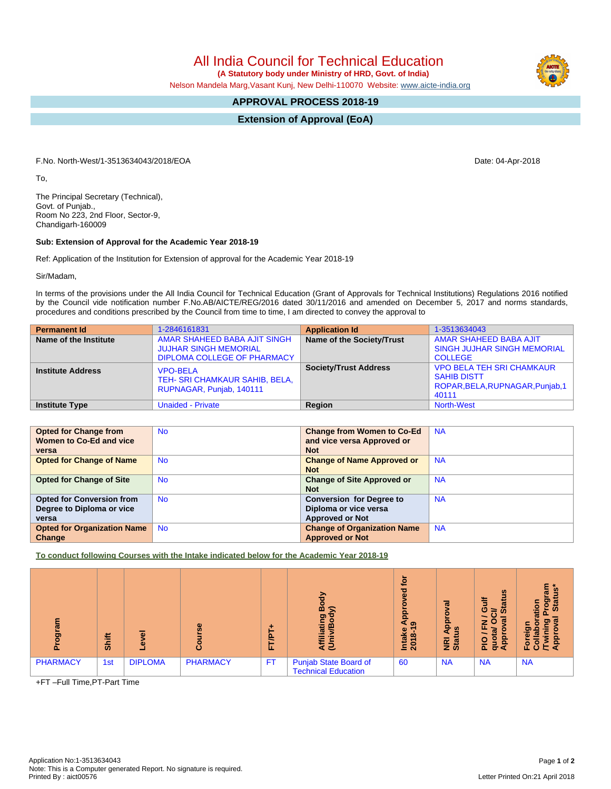All India Council for Technical Education  **(A Statutory body under Ministry of HRD, Govt. of India)**

Nelson Mandela Marg,Vasant Kunj, New Delhi-110070 Website: [www.aicte-india.org](http://www.aicte-india.org)

## **APPROVAL PROCESS 2018-19**

**Extension of Approval (EoA)**

F.No. North-West/1-3513634043/2018/EOA Date: 04-Apr-2018

To,

The Principal Secretary (Technical), Govt. of Punjab., Room No 223, 2nd Floor, Sector-9, Chandigarh-160009

## **Sub: Extension of Approval for the Academic Year 2018-19**

Ref: Application of the Institution for Extension of approval for the Academic Year 2018-19

Sir/Madam,

In terms of the provisions under the All India Council for Technical Education (Grant of Approvals for Technical Institutions) Regulations 2016 notified by the Council vide notification number F.No.AB/AICTE/REG/2016 dated 30/11/2016 and amended on December 5, 2017 and norms standards, procedures and conditions prescribed by the Council from time to time, I am directed to convey the approval to

| <b>Permanent Id</b>      | 1-2846161831                                                                                       | <b>Application Id</b>        | 1-3513634043                                                                                        |
|--------------------------|----------------------------------------------------------------------------------------------------|------------------------------|-----------------------------------------------------------------------------------------------------|
| Name of the Institute    | AMAR SHAHEED BABA AJIT SINGH<br><b>JUJHAR SINGH MEMORIAL</b><br><b>DIPLOMA COLLEGE OF PHARMACY</b> | Name of the Society/Trust    | AMAR SHAHEED BABA AJIT<br><b>SINGH JUJHAR SINGH MEMORIAL</b><br><b>COLLEGE</b>                      |
| <b>Institute Address</b> | <b>VPO-BELA</b><br>TEH- SRI CHAMKAUR SAHIB, BELA,<br>RUPNAGAR, Punjab, 140111                      | <b>Society/Trust Address</b> | <b>VPO BELA TEH SRI CHAMKAUR</b><br><b>SAHIB DISTT</b><br>ROPAR, BELA, RUPNAGAR, Punjab, 1<br>40111 |
| <b>Institute Type</b>    | <b>Unaided - Private</b>                                                                           | Region                       | <b>North-West</b>                                                                                   |

| <b>Opted for Change from</b>       | <b>No</b> | <b>Change from Women to Co-Ed</b>  | <b>NA</b> |
|------------------------------------|-----------|------------------------------------|-----------|
| Women to Co-Ed and vice            |           | and vice versa Approved or         |           |
| versa                              |           | <b>Not</b>                         |           |
| <b>Opted for Change of Name</b>    | <b>No</b> | <b>Change of Name Approved or</b>  | <b>NA</b> |
|                                    |           | <b>Not</b>                         |           |
| <b>Opted for Change of Site</b>    | <b>No</b> | <b>Change of Site Approved or</b>  | <b>NA</b> |
|                                    |           | <b>Not</b>                         |           |
| <b>Opted for Conversion from</b>   | <b>No</b> | <b>Conversion for Degree to</b>    | <b>NA</b> |
| Degree to Diploma or vice          |           | Diploma or vice versa              |           |
| versa                              |           | <b>Approved or Not</b>             |           |
| <b>Opted for Organization Name</b> | <b>No</b> | <b>Change of Organization Name</b> | <b>NA</b> |
| Change                             |           | <b>Approved or Not</b>             |           |

**To conduct following Courses with the Intake indicated below for the Academic Year 2018-19**

| $\bar{p}$       | Shift |                | ω               | e<br>L.   | ъ<br>മ<br>ත<br>÷<br><b>in</b><br>₹ ਦ                       | ē<br>ਠ<br>윤<br>െ<br>Intake<br>2018 | ಕ<br><u>p</u><br>n<br><b>PE</b> at | $\boldsymbol{\omega}$<br>Ĕ<br>耑<br>Ō<br>≃<br>ഗ<br>त्त<br>-<br>ш<br>윤<br>O<br>₫<br>ō.<br>ਠ<br>Œ | ন<br><u>ioj</u><br>೭ ಹೆ<br>$\sigma$<br>оñ<br>$\circ$<br>LL. |
|-----------------|-------|----------------|-----------------|-----------|------------------------------------------------------------|------------------------------------|------------------------------------|------------------------------------------------------------------------------------------------|-------------------------------------------------------------|
| <b>PHARMACY</b> | 1st   | <b>DIPLOMA</b> | <b>PHARMACY</b> | <b>FT</b> | <b>Punjab State Board of</b><br><b>Technical Education</b> | 60                                 | <b>NA</b>                          | <b>NA</b>                                                                                      | <b>NA</b>                                                   |

+FT –Full Time,PT-Part Time